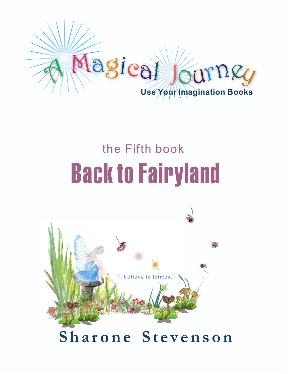

# **<sup>h</sup> <sup>e</sup> <sup>F</sup> <sup>i</sup> <sup>r</sup> <sup>s</sup> <sup>t</sup> <sup>b</sup> <sup>o</sup> <sup>o</sup> <sup>k</sup>** Back to Fairyland the Fifth book

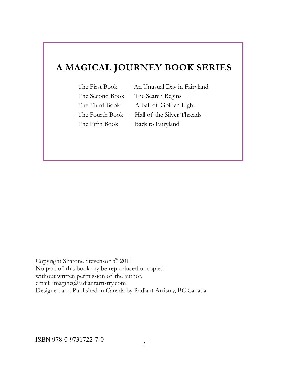### **A MAGICAL JOURNEY BOOK SERIES**

The First Book An Unusual Day in Fairyland The Second Book The Search Begins The Third Book A Ball of Golden Light The Fourth Book Hall of the Silver Threads The Fifth Book Back to Fairyland

Copyright Sharone Stevenson © 2011 No part of this book my be reproduced or copied without written permission of the author. email: imagine@radiantartistry.com Designed and Published in Canada by Radiant Artistry, BC Canada

ISBN 978-0-9731722-7-0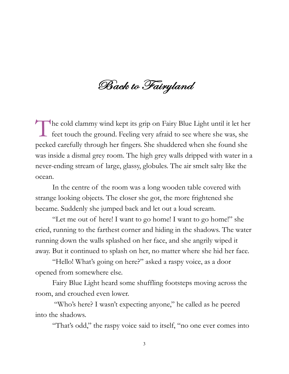Back to Fairyland

The cold clammy wind kept its grip on Fairy Blue Light until it let her feet touch the ground. Feeling very afraid to see where she was, she  $\mathsf{\mathsf{L}}$  feet touch the ground. Feeling very afraid to see where she was, she peeked carefully through her fingers. She shuddered when she found she was inside a dismal grey room. The high grey walls dripped with water in a never-ending stream of large, glassy, globules. The air smelt salty like the ocean.

In the centre of the room was a long wooden table covered with strange looking objects. The closer she got, the more frightened she became. Suddenly she jumped back and let out a loud scream.

"Let me out of here! I want to go home! I want to go home!" she cried, running to the farthest corner and hiding in the shadows. The water running down the walls splashed on her face, and she angrily wiped it away. But it continued to splash on her, no matter where she hid her face.

"Hello! What's going on here?" asked a raspy voice, as a door opened from somewhere else.

Fairy Blue Light heard some shuffling footsteps moving across the room, and crouched even lower.

"Who's here? I wasn't expecting anyone," he called as he peered into the shadows.

"That's odd," the raspy voice said to itself, "no one ever comes into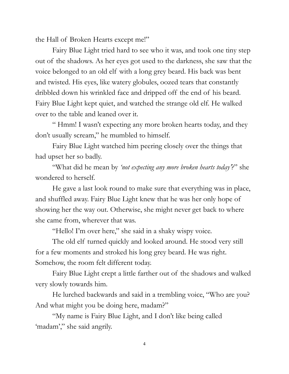the Hall of Broken Hearts except me!"

Fairy Blue Light tried hard to see who it was, and took one tiny step out of the shadows. As her eyes got used to the darkness, she saw that the voice belonged to an old elf with a long grey beard. His back was bent and twisted. His eyes, like watery globules, oozed tears that constantly dribbled down his wrinkled face and dripped off the end of his beard. Fairy Blue Light kept quiet, and watched the strange old elf. He walked over to the table and leaned over it.

" Hmm! I wasn't expecting any more broken hearts today, and they don't usually scream," he mumbled to himself.

Fairy Blue Light watched him peering closely over the things that had upset her so badly.

"What did he mean by *'not expecting any more broken hearts today'*?" she wondered to herself.

He gave a last look round to make sure that everything was in place, and shuffled away. Fairy Blue Light knew that he was her only hope of showing her the way out. Otherwise, she might never get back to where she came from, wherever that was.

"Hello! I'm over here," she said in a shaky wispy voice.

The old elf turned quickly and looked around. He stood very still for a few moments and stroked his long grey beard. He was right. Somehow, the room felt different today.

Fairy Blue Light crept a little farther out of the shadows and walked very slowly towards him.

He lurched backwards and said in a trembling voice, "Who are you? And what might you be doing here, madam?"

"My name is Fairy Blue Light, and I don't like being called 'madam'," she said angrily.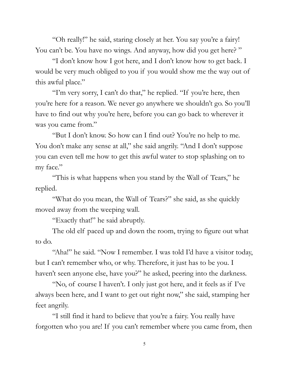"Oh really!" he said, staring closely at her. You say you're a fairy! You can't be. You have no wings. And anyway, how did you get here?"

"I don't know how I got here, and I don't know how to get back. I would be very much obliged to you if you would show me the way out of this awful place."

"I'm very sorry, I can't do that," he replied. "If you're here, then you're here for a reason. We never go anywhere we shouldn't go. So you'll have to find out why you're here, before you can go back to wherever it was you came from."

"But I don't know. So how can I find out? You're no help to me. You don't make any sense at all," she said angrily. "And I don't suppose you can even tell me how to get this awful water to stop splashing on to my face."

"This is what happens when you stand by the Wall of Tears," he replied.

"What do you mean, the Wall of Tears?" she said, as she quickly moved away from the weeping wall.

"Exactly that!" he said abruptly.

The old elf paced up and down the room, trying to figure out what to do.

"Aha!" he said. "Now I remember. I was told I'd have a visitor today, but I can't remember who, or why. Therefore, it just has to be you. I haven't seen anyone else, have you?" he asked, peering into the darkness.

"No, of course I haven't. I only just got here, and it feels as if I've always been here, and I want to get out right now," she said, stamping her feet angrily.

"I still find it hard to believe that you're a fairy. You really have forgotten who you are! If you can't remember where you came from, then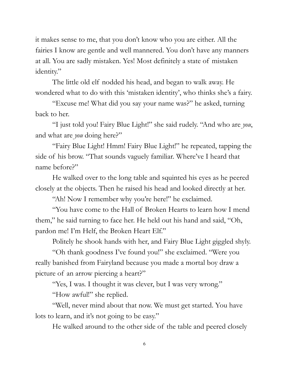it makes sense to me, that you don't know who you are either. All the fairies I know are gentle and well mannered. You don't have any manners at all. You are sadly mistaken. Yes! Most definitely a state of mistaken identity."

The little old elf nodded his head, and began to walk away. He wondered what to do with this 'mistaken identity', who thinks she's a fairy.

"Excuse me! What did you say your name was?" he asked, turning back to her.

"I just told you! Fairy Blue Light!" she said rudely. "And who are *you*, and what are *you* doing here?"

"Fairy Blue Light! Hmm! Fairy Blue Light!" he repeated, tapping the side of his brow. "That sounds vaguely familiar. Where've I heard that name before?"

He walked over to the long table and squinted his eyes as he peered closely at the objects. Then he raised his head and looked directly at her.

"Ah! Now I remember why you're here!" he exclaimed.

"You have come to the Hall of Broken Hearts to learn how I mend them," he said turning to face her. He held out his hand and said, "Oh, pardon me! I'm Helf, the Broken Heart Elf."

Politely he shook hands with her, and Fairy Blue Light giggled shyly.

"Oh thank goodness I've found you!" she exclaimed. "Were you really banished from Fairyland because you made a mortal boy draw a picture of an arrow piercing a heart?"

"Yes, I was. I thought it was clever, but I was very wrong."

"How awful!" she replied.

"Well, never mind about that now. We must get started. You have lots to learn, and it's not going to be easy."

He walked around to the other side of the table and peered closely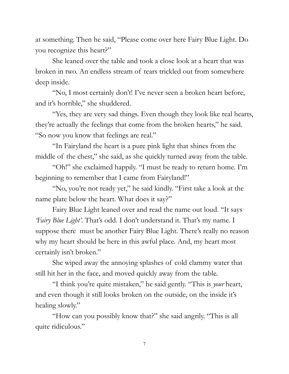at something. Then he said, "Please come over here Fairy Blue Light. Do you recognize this heart?"

She leaned over the table and took a close look at a heart that was broken in two. An endless stream of tears trickled out from somewhere deep inside.

"No, I most certainly don't! I've never seen a broken heart before, and it's horrible," she shuddered.

"Yes, they are very sad things. Even though they look like real hearts, they're actually the feelings that come from the broken hearts," he said. "So now you know that feelings are real."

"In Fairyland the heart is a pure pink light that shines from the middle of the chest," she said, as she quickly turned away from the table.

"Oh!" she exclaimed happily. "I must be ready to return home. I'm beginning to remember that I came from Fairyland!"

"No, you're not ready yet," he said kindly. "First take a look at the name plate below the heart. What does it say?"

Fairy Blue Light leaned over and read the name out loud. "It says *'Fairy Blue Light'*. That's odd. I don't understand it. That's my name. I suppose there must be another Fairy Blue Light. There's really no reason why my heart should be here in this awful place. And, my heart most certainly isn't broken."

She wiped away the annoying splashes of cold clammy water that still hit her in the face, and moved quickly away from the table.

"I think you're quite mistaken," he said gently. "This is *your* heart, and even though it still looks broken on the outside, on the inside it's healing slowly."

"How can you possibly know that?" she said angrily. "This is all quite ridiculous."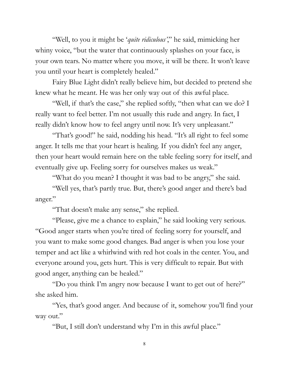"Well, to you it might be '*quite ridiculous'*," he said, mimicking her whiny voice, "but the water that continuously splashes on your face, is your own tears. No matter where you move, it will be there. It won't leave you until your heart is completely healed."

Fairy Blue Light didn't really believe him, but decided to pretend she knew what he meant. He was her only way out of this awful place.

"Well, if that's the case," she replied softly, "then what can we do? I really want to feel better. I'm not usually this rude and angry. In fact, I really didn't know how to feel angry until now. It's very unpleasant."

"That's good!" he said, nodding his head. "It's all right to feel some anger. It tells me that your heart is healing. If you didn't feel any anger, then your heart would remain here on the table feeling sorry for itself, and eventually give up. Feeling sorry for ourselves makes us weak."

"What do you mean? I thought it was bad to be angry," she said.

"Well yes, that's partly true. But, there's good anger and there's bad anger."

"That doesn't make any sense," she replied.

"Please, give me a chance to explain," he said looking very serious. "Good anger starts when you're tired of feeling sorry for yourself, and you want to make some good changes. Bad anger is when you lose your temper and act like a whirlwind with red hot coals in the center. You, and everyone around you, gets hurt. This is very difficult to repair. But with good anger, anything can be healed."

"Do you think I'm angry now because I want to get out of here?" she asked him.

"Yes, that's good anger. And because of it, somehow you'll find your way out."

"But, I still don't understand why I'm in this awful place."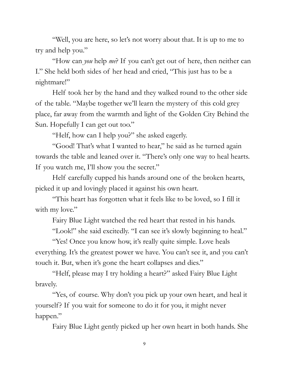"Well, you are here, so let's not worry about that. It is up to me to try and help you."

"How can *you* help *me*? If you can't get out of here, then neither can I." She held both sides of her head and cried, "This just has to be a nightmare!"

Helf took her by the hand and they walked round to the other side of the table. "Maybe together we'll learn the mystery of this cold grey place, far away from the warmth and light of the Golden City Behind the Sun. Hopefully I can get out too."

"Helf, how can I help you?" she asked eagerly.

"Good! That's what I wanted to hear," he said as he turned again towards the table and leaned over it. "There's only one way to heal hearts. If you watch me, I'll show you the secret."

Helf carefully cupped his hands around one of the broken hearts, picked it up and lovingly placed it against his own heart.

"This heart has forgotten what it feels like to be loved, so I fill it with my love."

Fairy Blue Light watched the red heart that rested in his hands.

"Look!" she said excitedly. "I can see it's slowly beginning to heal."

"Yes! Once you know how, it's really quite simple. Love heals everything. It's the greatest power we have. You can't see it, and you can't touch it. But, when it's gone the heart collapses and dies."

"Helf, please may I try holding a heart?" asked Fairy Blue Light bravely.

"Yes, of course. Why don't you pick up your own heart, and heal it yourself? If you wait for someone to do it for you, it might never happen."

Fairy Blue Light gently picked up her own heart in both hands. She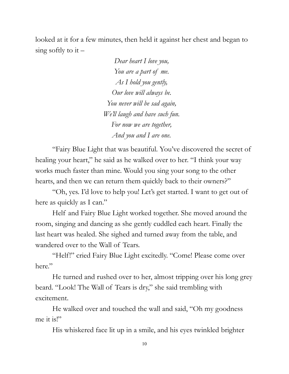looked at it for a few minutes, then held it against her chest and began to sing softly to it  $-$ 

> *Dear heart I love you, You are a part of me. As I hold you gently, Our love will always be. You never will be sad again, We'll laugh and have such fun. For now we are together, And you and I are one.*

"Fairy Blue Light that was beautiful. You've discovered the secret of healing your heart," he said as he walked over to her. "I think your way works much faster than mine. Would you sing your song to the other hearts, and then we can return them quickly back to their owners?"

"Oh, yes. I'd love to help you! Let's get started. I want to get out of here as quickly as I can."

Helf and Fairy Blue Light worked together. She moved around the room, singing and dancing as she gently cuddled each heart. Finally the last heart was healed. She sighed and turned away from the table, and wandered over to the Wall of Tears.

"Helf!" cried Fairy Blue Light excitedly. "Come! Please come over here."

He turned and rushed over to her, almost tripping over his long grey beard. "Look! The Wall of Tears is dry," she said trembling with excitement.

He walked over and touched the wall and said, "Oh my goodness me it is!"

His whiskered face lit up in a smile, and his eyes twinkled brighter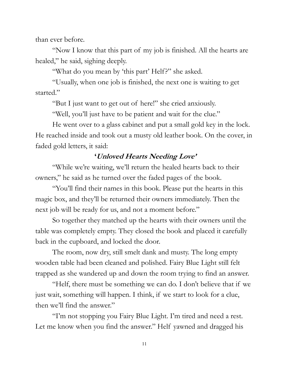than ever before.

"Now I know that this part of my job is finished. All the hearts are healed," he said, sighing deeply.

"What do you mean by 'this part' Helf?" she asked.

"Usually, when one job is finished, the next one is waiting to get started."

"But I just want to get out of here!" she cried anxiously.

"Well, you'll just have to be patient and wait for the clue."

He went over to a glass cabinet and put a small gold key in the lock. He reached inside and took out a musty old leather book. On the cover, in faded gold letters, it said:

#### **'Unloved Hearts Needing Love'**

"While we're waiting, we'll return the healed hearts back to their owners," he said as he turned over the faded pages of the book.

"You'll find their names in this book. Please put the hearts in this magic box, and they'll be returned their owners immediately. Then the next job will be ready for us, and not a moment before."

So together they matched up the hearts with their owners until the table was completely empty. They closed the book and placed it carefully back in the cupboard, and locked the door.

The room, now dry, still smelt dank and musty. The long empty wooden table had been cleaned and polished. Fairy Blue Light still felt trapped as she wandered up and down the room trying to find an answer.

"Helf, there must be something we can do. I don't believe that if we just wait, something will happen. I think, if we start to look for a clue, then we'll find the answer."

"I'm not stopping you Fairy Blue Light. I'm tired and need a rest. Let me know when you find the answer." Helf yawned and dragged his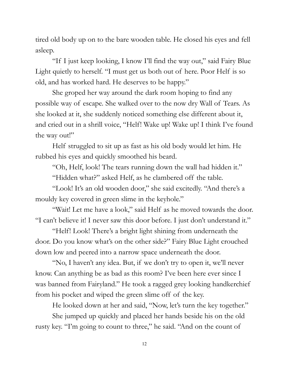tired old body up on to the bare wooden table. He closed his eyes and fell asleep.

"If I just keep looking, I know I'll find the way out," said Fairy Blue Light quietly to herself. "I must get us both out of here. Poor Helf is so old, and has worked hard. He deserves to be happy."

She groped her way around the dark room hoping to find any possible way of escape. She walked over to the now dry Wall of Tears. As she looked at it, she suddenly noticed something else different about it, and cried out in a shrill voice, "Helf! Wake up! Wake up! I think I've found the way out!"

Helf struggled to sit up as fast as his old body would let him. He rubbed his eyes and quickly smoothed his beard.

"Oh, Helf, look! The tears running down the wall had hidden it."

"Hidden what?" asked Helf, as he clambered off the table.

"Look! It's an old wooden door," she said excitedly. "And there's a mouldy key covered in green slime in the keyhole."

"Wait! Let me have a look," said Helf as he moved towards the door. "I can't believe it! I never saw this door before. I just don't understand it."

"Helf! Look! There's a bright light shining from underneath the door. Do you know what's on the other side?" Fairy Blue Light crouched down low and peered into a narrow space underneath the door.

"No, I haven't any idea. But, if we don't try to open it, we'll never know. Can anything be as bad as this room? I've been here ever since I was banned from Fairyland." He took a ragged grey looking handkerchief from his pocket and wiped the green slime off of the key.

He looked down at her and said, "Now, let's turn the key together."

She jumped up quickly and placed her hands beside his on the old rusty key. "I'm going to count to three," he said. "And on the count of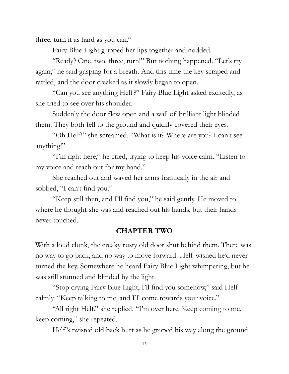three, turn it as hard as you can."

Fairy Blue Light gripped her lips together and nodded.

"Ready? One, two, three, turn!" But nothing happened. "Let's try again," he said gasping for a breath. And this time the key scraped and rattled, and the door creaked as it slowly began to open.

"Can you see anything Helf?" Fairy Blue Light asked excitedly, as she tried to see over his shoulder.

Suddenly the door flew open and a wall of brilliant light blinded them. They both fell to the ground and quickly covered their eyes.

"Oh Helf!" she screamed. "What is it? Where are you? I can't see anything!"

"I'm right here," he cried, trying to keep his voice calm. "Listen to my voice and reach out for my hand."

She reached out and waved her arms frantically in the air and sobbed, "I can't find you."

"Keep still then, and I'll find you," he said gently. He moved to where he thought she was and reached out his hands, but their hands never touched.

#### **CHAPTER TWO**

With a loud clunk, the creaky rusty old door shut behind them. There was no way to go back, and no way to move forward. Helf wished he'd never turned the key. Somewhere he heard Fairy Blue Light whimpering, but he was still stunned and blinded by the light.

"Stop crying Fairy Blue Light, I'll find you somehow," said Helf calmly. "Keep talking to me, and I'll come towards your voice."

"All right Helf," she replied. "I'm over here. Keep coming to me, keep coming," she repeated.

Helf 's twisted old back hurt as he groped his way along the ground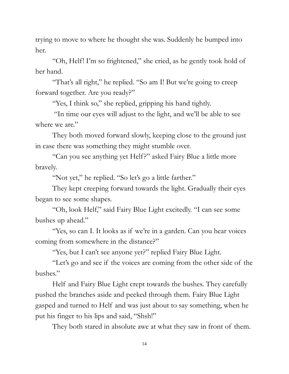trying to move to where he thought she was. Suddenly he bumped into her.

"Oh, Helf! I'm so frightened," she cried, as he gently took hold of her hand.

"That's all right," he replied. "So am I! But we're going to creep forward together. Are you ready?"

"Yes, I think so," she replied, gripping his hand tightly.

"In time our eyes will adjust to the light, and we'll be able to see where we are."

They both moved forward slowly, keeping close to the ground just in case there was something they might stumble over.

"Can you see anything yet Helf?" asked Fairy Blue a little more bravely.

"Not yet," he replied. "So let's go a little farther."

They kept creeping forward towards the light. Gradually their eyes began to see some shapes.

"Oh, look Helf," said Fairy Blue Light excitedly. "I can see some bushes up ahead."

"Yes, so can I. It looks as if we're in a garden. Can you hear voices coming from somewhere in the distance?"

"Yes, but I can't see anyone yet?" replied Fairy Blue Light.

"Let's go and see if the voices are coming from the other side of the bushes."

Helf and Fairy Blue Light crept towards the bushes. They carefully pushed the branches aside and peeked through them. Fairy Blue Light gasped and turned to Helf and was just about to say something, when he put his finger to his lips and said, "Shsh!"

They both stared in absolute awe at what they saw in front of them.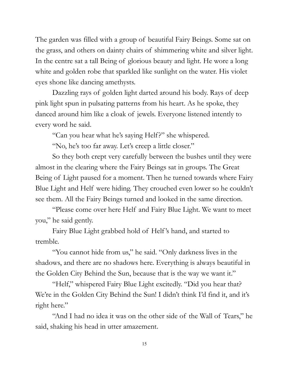The garden was filled with a group of beautiful Fairy Beings. Some sat on the grass, and others on dainty chairs of shimmering white and silver light. In the centre sat a tall Being of glorious beauty and light. He wore a long white and golden robe that sparkled like sunlight on the water. His violet eyes shone like dancing amethysts.

Dazzling rays of golden light darted around his body. Rays of deep pink light spun in pulsating patterns from his heart. As he spoke, they danced around him like a cloak of jewels. Everyone listened intently to every word he said.

"Can you hear what he's saying Helf?" she whispered.

"No, he's too far away. Let's creep a little closer."

So they both crept very carefully between the bushes until they were almost in the clearing where the Fairy Beings sat in groups. The Great Being of Light paused for a moment. Then he turned towards where Fairy Blue Light and Helf were hiding. They crouched even lower so he couldn't see them. All the Fairy Beings turned and looked in the same direction.

"Please come over here Helf and Fairy Blue Light. We want to meet you," he said gently.

Fairy Blue Light grabbed hold of Helf 's hand, and started to tremble.

"You cannot hide from us," he said. "Only darkness lives in the shadows, and there are no shadows here. Everything is always beautiful in the Golden City Behind the Sun, because that is the way we want it."

"Helf," whispered Fairy Blue Light excitedly. "Did you hear that? We're in the Golden City Behind the Sun! I didn't think I'd find it, and it's right here."

"And I had no idea it was on the other side of the Wall of Tears," he said, shaking his head in utter amazement.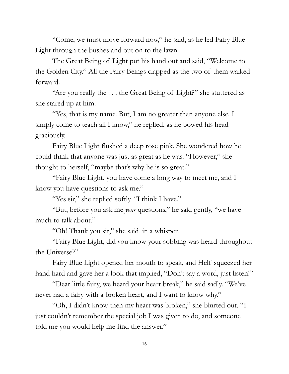"Come, we must move forward now," he said, as he led Fairy Blue Light through the bushes and out on to the lawn.

The Great Being of Light put his hand out and said, "Welcome to the Golden City." All the Fairy Beings clapped as the two of them walked forward.

"Are you really the . . . the Great Being of Light?" she stuttered as she stared up at him.

"Yes, that is my name. But, I am no greater than anyone else. I simply come to teach all I know," he replied, as he bowed his head graciously.

Fairy Blue Light flushed a deep rose pink. She wondered how he could think that anyone was just as great as he was. "However," she thought to herself, "maybe that's why he is so great."

"Fairy Blue Light, you have come a long way to meet me, and I know you have questions to ask me."

"Yes sir," she replied softly. "I think I have."

"But, before you ask me *your* questions," he said gently, "we have much to talk about."

"Oh! Thank you sir," she said, in a whisper.

"Fairy Blue Light, did you know your sobbing was heard throughout the Universe?"

Fairy Blue Light opened her mouth to speak, and Helf squeezed her hand hard and gave her a look that implied, "Don't say a word, just listen!"

"Dear little fairy, we heard your heart break," he said sadly. "We've never had a fairy with a broken heart, and I want to know why."

"Oh, I didn't know then my heart was broken," she blurted out. "I just couldn't remember the special job I was given to do, and someone told me you would help me find the answer."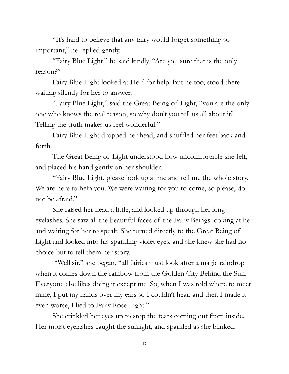"It's hard to believe that any fairy would forget something so important," he replied gently.

"Fairy Blue Light," he said kindly, "Are you sure that is the only reason?"

Fairy Blue Light looked at Helf for help. But he too, stood there waiting silently for her to answer.

"Fairy Blue Light," said the Great Being of Light, "you are the only one who knows the real reason, so why don't you tell us all about it? Telling the truth makes us feel wonderful."

Fairy Blue Light dropped her head, and shuffled her feet back and forth.

The Great Being of Light understood how uncomfortable she felt, and placed his hand gently on her shoulder.

"Fairy Blue Light, please look up at me and tell me the whole story. We are here to help you. We were waiting for you to come, so please, do not be afraid."

She raised her head a little, and looked up through her long eyelashes. She saw all the beautiful faces of the Fairy Beings looking at her and waiting for her to speak. She turned directly to the Great Being of Light and looked into his sparkling violet eyes, and she knew she had no choice but to tell them her story.

"Well sir," she began, "all fairies must look after a magic raindrop when it comes down the rainbow from the Golden City Behind the Sun. Everyone else likes doing it except me. So, when I was told where to meet mine, I put my hands over my ears so I couldn't hear, and then I made it even worse, I lied to Fairy Rose Light."

She crinkled her eyes up to stop the tears coming out from inside. Her moist eyelashes caught the sunlight, and sparkled as she blinked.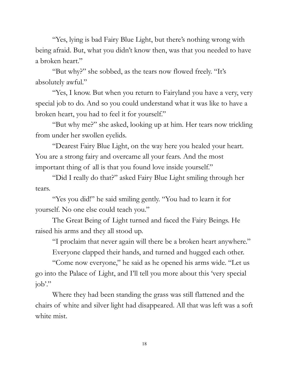"Yes, lying is bad Fairy Blue Light, but there's nothing wrong with being afraid. But, what you didn't know then, was that you needed to have a broken heart."

"But why?" she sobbed, as the tears now flowed freely. "It's absolutely awful."

"Yes, I know. But when you return to Fairyland you have a very, very special job to do. And so you could understand what it was like to have a broken heart, you had to feel it for yourself."

"But why me?" she asked, looking up at him. Her tears now trickling from under her swollen eyelids.

"Dearest Fairy Blue Light, on the way here you healed your heart. You are a strong fairy and overcame all your fears. And the most important thing of all is that you found love inside yourself."

"Did I really do that?" asked Fairy Blue Light smiling through her tears.

"Yes you did!" he said smiling gently. "You had to learn it for yourself. No one else could teach you."

The Great Being of Light turned and faced the Fairy Beings. He raised his arms and they all stood up.

"I proclaim that never again will there be a broken heart anywhere."

Everyone clapped their hands, and turned and hugged each other.

"Come now everyone," he said as he opened his arms wide. "Let us go into the Palace of Light, and I'll tell you more about this 'very special job'."

Where they had been standing the grass was still flattened and the chairs of white and silver light had disappeared. All that was left was a soft white mist.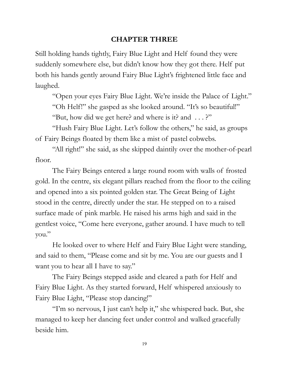#### **CHAPTER THREE**

Still holding hands tightly, Fairy Blue Light and Helf found they were suddenly somewhere else, but didn't know how they got there. Helf put both his hands gently around Fairy Blue Light's frightened little face and laughed.

"Open your eyes Fairy Blue Light. We're inside the Palace of Light."

"Oh Helf!" she gasped as she looked around. "It's so beautiful!"

"But, how did we get here? and where is it? and . . . ?"

"Hush Fairy Blue Light. Let's follow the others," he said, as groups of Fairy Beings floated by them like a mist of pastel cobwebs.

"All right!" she said, as she skipped daintily over the mother-of-pearl floor.

The Fairy Beings entered a large round room with walls of frosted gold. In the centre, six elegant pillars reached from the floor to the ceiling and opened into a six pointed golden star. The Great Being of Light stood in the centre, directly under the star. He stepped on to a raised surface made of pink marble. He raised his arms high and said in the gentlest voice, "Come here everyone, gather around. I have much to tell you."

He looked over to where Helf and Fairy Blue Light were standing, and said to them, "Please come and sit by me. You are our guests and I want you to hear all I have to say."

The Fairy Beings stepped aside and cleared a path for Helf and Fairy Blue Light. As they started forward, Helf whispered anxiously to Fairy Blue Light, "Please stop dancing!"

"I'm so nervous, I just can't help it," she whispered back. But, she managed to keep her dancing feet under control and walked gracefully beside him.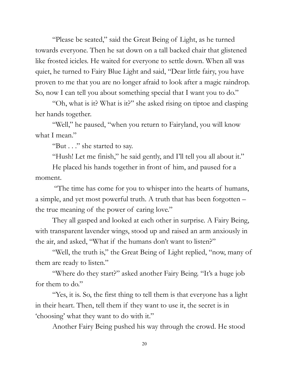"Please be seated," said the Great Being of Light, as he turned towards everyone. Then he sat down on a tall backed chair that glistened like frosted icicles. He waited for everyone to settle down. When all was quiet, he turned to Fairy Blue Light and said, "Dear little fairy, you have proven to me that you are no longer afraid to look after a magic raindrop. So, now I can tell you about something special that I want you to do."

"Oh, what is it? What is it?" she asked rising on tiptoe and clasping her hands together.

"Well," he paused, "when you return to Fairyland, you will know what I mean."

"But . . ." she started to say.

"Hush! Let me finish," he said gently, and I'll tell you all about it."

He placed his hands together in front of him, and paused for a moment.

"The time has come for you to whisper into the hearts of humans, a simple, and yet most powerful truth. A truth that has been forgotten – the true meaning of the power of caring love."

They all gasped and looked at each other in surprise. A Fairy Being, with transparent lavender wings, stood up and raised an arm anxiously in the air, and asked, "What if the humans don't want to listen?"

"Well, the truth is," the Great Being of Light replied, "now, many of them are ready to listen."

"Where do they start?" asked another Fairy Being. "It's a huge job for them to do."

"Yes, it is. So, the first thing to tell them is that everyone has a light in their heart. Then, tell them if they want to use it, the secret is in 'choosing' what they want to do with it."

Another Fairy Being pushed his way through the crowd. He stood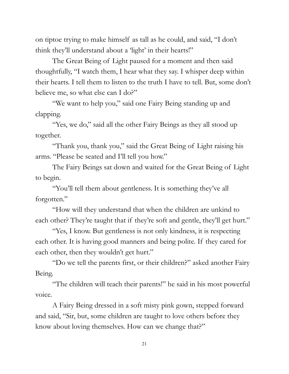on tiptoe trying to make himself as tall as he could, and said, "I don't think they'll understand about a 'light' in their hearts!"

The Great Being of Light paused for a moment and then said thoughtfully, "I watch them, I hear what they say. I whisper deep within their hearts. I tell them to listen to the truth I have to tell. But, some don't believe me, so what else can I do?"

"We want to help you," said one Fairy Being standing up and clapping.

"Yes, we do," said all the other Fairy Beings as they all stood up together.

"Thank you, thank you," said the Great Being of Light raising his arms. "Please be seated and I'll tell you how."

The Fairy Beings sat down and waited for the Great Being of Light to begin.

"You'll tell them about gentleness. It is something they've all forgotten."

"How will they understand that when the children are unkind to each other? They're taught that if they're soft and gentle, they'll get hurt."

"Yes, I know. But gentleness is not only kindness, it is respecting each other. It is having good manners and being polite. If they cared for each other, then they wouldn't get hurt."

"Do we tell the parents first, or their children?" asked another Fairy Being.

"The children will teach their parents!" he said in his most powerful voice.

A Fairy Being dressed in a soft misty pink gown, stepped forward and said, "Sir, but, some children are taught to love others before they know about loving themselves. How can we change that?"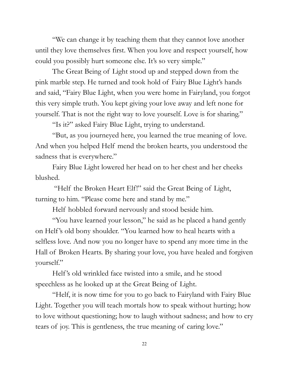"We can change it by teaching them that they cannot love another until they love themselves first. When you love and respect yourself, how could you possibly hurt someone else. It's so very simple."

The Great Being of Light stood up and stepped down from the pink marble step. He turned and took hold of Fairy Blue Light's hands and said, "Fairy Blue Light, when you were home in Fairyland, you forgot this very simple truth. You kept giving your love away and left none for yourself. That is not the right way to love yourself. Love is for sharing."

"Is it?" asked Fairy Blue Light, trying to understand.

"But, as you journeyed here, you learned the true meaning of love. And when you helped Helf mend the broken hearts, you understood the sadness that is everywhere."

Fairy Blue Light lowered her head on to her chest and her cheeks blushed.

"Helf the Broken Heart Elf!" said the Great Being of Light, turning to him. "Please come here and stand by me."

Helf hobbled forward nervously and stood beside him.

"You have learned your lesson," he said as he placed a hand gently on Helf 's old bony shoulder. "You learned how to heal hearts with a selfless love. And now you no longer have to spend any more time in the Hall of Broken Hearts. By sharing your love, you have healed and forgiven yourself."

Helf 's old wrinkled face twisted into a smile, and he stood speechless as he looked up at the Great Being of Light.

"Helf, it is now time for you to go back to Fairyland with Fairy Blue Light. Together you will teach mortals how to speak without hurting; how to love without questioning; how to laugh without sadness; and how to cry tears of joy. This is gentleness, the true meaning of caring love."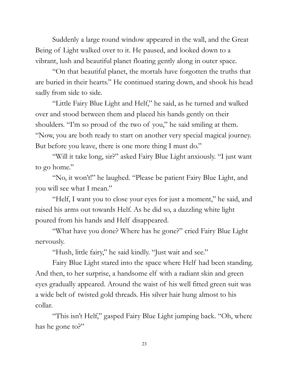Suddenly a large round window appeared in the wall, and the Great Being of Light walked over to it. He paused, and looked down to a vibrant, lush and beautiful planet floating gently along in outer space.

"On that beautiful planet, the mortals have forgotten the truths that are buried in their hearts." He continued staring down, and shook his head sadly from side to side.

"Little Fairy Blue Light and Helf," he said, as he turned and walked over and stood between them and placed his hands gently on their shoulders. "I'm so proud of the two of you," he said smiling at them. "Now, you are both ready to start on another very special magical journey. But before you leave, there is one more thing I must do."

"Will it take long, sir?" asked Fairy Blue Light anxiously. "I just want to go home."

"No, it won't!" he laughed. "Please be patient Fairy Blue Light, and you will see what I mean."

"Helf, I want you to close your eyes for just a moment," he said, and raised his arms out towards Helf. As he did so, a dazzling white light poured from his hands and Helf disappeared.

"What have you done? Where has he gone?" cried Fairy Blue Light nervously.

"Hush, little fairy," he said kindly. "Just wait and see."

Fairy Blue Light stared into the space where Helf had been standing. And then, to her surprise, a handsome elf with a radiant skin and green eyes gradually appeared. Around the waist of his well fitted green suit was a wide belt of twisted gold threads. His silver hair hung almost to his collar.

"This isn't Helf," gasped Fairy Blue Light jumping back. "Oh, where has he gone to?"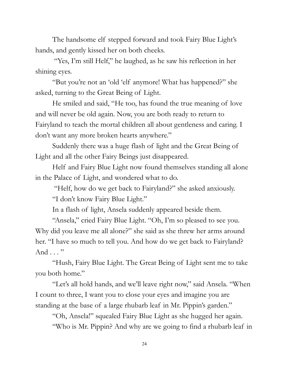The handsome elf stepped forward and took Fairy Blue Light's hands, and gently kissed her on both cheeks.

"Yes, I'm still Helf," he laughed, as he saw his reflection in her shining eyes.

"But you're not an 'old 'elf anymore! What has happened?" she asked, turning to the Great Being of Light.

He smiled and said, "He too, has found the true meaning of love and will never be old again. Now, you are both ready to return to Fairyland to teach the mortal children all about gentleness and caring. I don't want any more broken hearts anywhere."

Suddenly there was a huge flash of light and the Great Being of Light and all the other Fairy Beings just disappeared.

Helf and Fairy Blue Light now found themselves standing all alone in the Palace of Light, and wondered what to do.

"Helf, how do we get back to Fairyland?" she asked anxiously.

"I don't know Fairy Blue Light."

In a flash of light, Ansela suddenly appeared beside them.

"Ansela," cried Fairy Blue Light. "Oh, I'm so pleased to see you. Why did you leave me all alone?" she said as she threw her arms around her. "I have so much to tell you. And how do we get back to Fairyland? And . . . "

"Hush, Fairy Blue Light. The Great Being of Light sent me to take you both home."

"Let's all hold hands, and we'll leave right now," said Ansela. "When I count to three, I want you to close your eyes and imagine you are standing at the base of a large rhubarb leaf in Mr. Pippin's garden."

"Oh, Ansela!" squealed Fairy Blue Light as she hugged her again. "Who is Mr. Pippin? And why are we going to find a rhubarb leaf in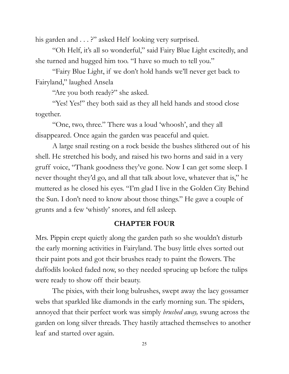his garden and . . . ?" asked Helf looking very surprised.

"Oh Helf, it's all so wonderful," said Fairy Blue Light excitedly, and she turned and hugged him too. "I have so much to tell you."

"Fairy Blue Light, if we don't hold hands we'll never get back to Fairyland," laughed Ansela

"Are you both ready?" she asked.

"Yes! Yes!" they both said as they all held hands and stood close together.

"One, two, three." There was a loud 'whoosh', and they all disappeared. Once again the garden was peaceful and quiet.

A large snail resting on a rock beside the bushes slithered out of his shell. He stretched his body, and raised his two horns and said in a very gruff voice, "Thank goodness they've gone. Now I can get some sleep. I never thought they'd go, and all that talk about love, whatever that is," he muttered as he closed his eyes. "I'm glad I live in the Golden City Behind the Sun. I don't need to know about those things." He gave a couple of grunts and a few 'whistly' snores, and fell asleep.

#### **CHAPTER FOUR**

Mrs. Pippin crept quietly along the garden path so she wouldn't disturb the early morning activities in Fairyland. The busy little elves sorted out their paint pots and got their brushes ready to paint the flowers. The daffodils looked faded now, so they needed sprucing up before the tulips were ready to show off their beauty.

The pixies, with their long bulrushes, swept away the lacy gossamer webs that sparkled like diamonds in the early morning sun. The spiders, annoyed that their perfect work was simply *brushed away,* swung across the garden on long silver threads. They hastily attached themselves to another leaf and started over again.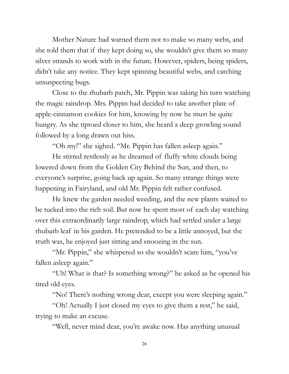Mother Nature had warned them not to make so many webs, and she told them that if they kept doing so, she wouldn't give them so many silver strands to work with in the future. However, spiders, being spiders, didn't take any notice. They kept spinning beautiful webs, and catching unsuspecting bugs.

Close to the rhubarb patch, Mr. Pippin was taking his turn watching the magic raindrop. Mrs. Pippin had decided to take another plate of apple-cinnamon cookies for him, knowing by now he must be quite hungry. As she tiptoed closer to him, she heard a deep growling sound followed by a long drawn out hiss.

"Oh my!" she sighed. "Mr. Pippin has fallen asleep again."

He stirred restlessly as he dreamed of fluffy white clouds being lowered down from the Golden City Behind the Sun, and then, to everyone's surprise, going back up again. So many strange things were happening in Fairyland, and old Mr. Pippin felt rather confused.

He knew the garden needed weeding, and the new plants waited to be tucked into the rich soil. But now he spent most of each day watching over this extraordinarily large raindrop, which had settled under a large rhubarb leaf in his garden. He pretended to be a little annoyed, but the truth was, he enjoyed just sitting and snoozing in the sun.

"Mr. Pippin," she whispered so she wouldn't scare him, "you've fallen asleep again."

"Uh! What is that? Is something wrong?" he asked as he opened his tired old eyes.

"No! There's nothing wrong dear, except you were sleeping again."

"Oh! Actually I just closed my eyes to give them a rest," he said, trying to make an excuse.

"Well, never mind dear, you're awake now. Has anything unusual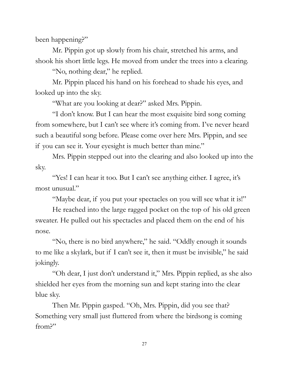been happening?"

Mr. Pippin got up slowly from his chair, stretched his arms, and shook his short little legs. He moved from under the trees into a clearing.

"No, nothing dear," he replied.

Mr. Pippin placed his hand on his forehead to shade his eyes, and looked up into the sky.

"What are you looking at dear?" asked Mrs. Pippin.

"I don't know. But I can hear the most exquisite bird song coming from somewhere, but I can't see where it's coming from. I've never heard such a beautiful song before. Please come over here Mrs. Pippin, and see if you can see it. Your eyesight is much better than mine."

Mrs. Pippin stepped out into the clearing and also looked up into the sky.

"Yes! I can hear it too. But I can't see anything either. I agree, it's most unusual."

"Maybe dear, if you put your spectacles on you will see what it is!"

He reached into the large ragged pocket on the top of his old green sweater. He pulled out his spectacles and placed them on the end of his nose.

"No, there is no bird anywhere," he said. "Oddly enough it sounds to me like a skylark, but if I can't see it, then it must be invisible," he said jokingly.

"Oh dear, I just don't understand it," Mrs. Pippin replied, as she also shielded her eyes from the morning sun and kept staring into the clear blue sky.

Then Mr. Pippin gasped. "Oh, Mrs. Pippin, did you see that? Something very small just fluttered from where the birdsong is coming from?"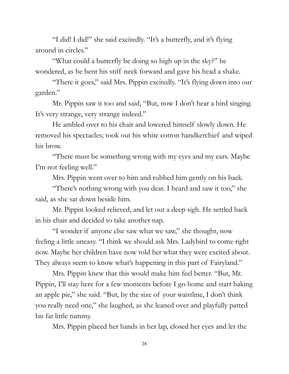"I did! I did!" she said excitedly. "It's a butterfly, and it's flying around in circles."

"What could a butterfly be doing so high up in the sky?" he wondered, as he bent his stiff neck forward and gave his head a shake.

"There it goes," said Mrs. Pippin excitedly. "It's flying down into our garden."

Mr. Pippin saw it too and said, "But, now I don't hear a bird singing. It's very strange, very strange indeed."

He ambled over to his chair and lowered himself slowly down. He removed his spectacles; took out his white cotton handkerchief and wiped his brow.

"There must be something wrong with my eyes and my ears. Maybe I'm not feeling well."

Mrs. Pippin went over to him and rubbed him gently on his back.

"There's nothing wrong with you dear. I heard and saw it too," she said, as she sat down beside him.

Mr. Pippin looked relieved, and let out a deep sigh. He settled back in his chair and decided to take another nap.

"I wonder if anyone else saw what we saw," she thought, now feeling a little uneasy. "I think we should ask Mrs. Ladybird to come right now. Maybe her children have now told her what they were excited about. They always seem to know what's happening in this part of Fairyland."

Mrs. Pippin knew that this would make him feel better. "But, Mr. Pippin, I'll stay here for a few moments before I go home and start baking an apple pie," she said. "But, by the size of your waistline, I don't think you really need one," she laughed, as she leaned over and playfully patted his fat little tummy.

Mrs. Pippin placed her hands in her lap, closed her eyes and let the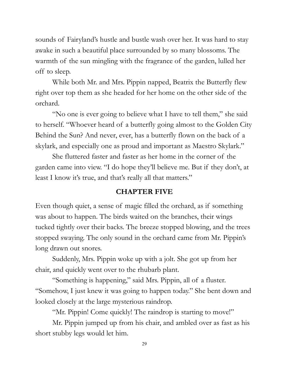sounds of Fairyland's hustle and bustle wash over her. It was hard to stay awake in such a beautiful place surrounded by so many blossoms. The warmth of the sun mingling with the fragrance of the garden, lulled her off to sleep.

While both Mr. and Mrs. Pippin napped, Beatrix the Butterfly flew right over top them as she headed for her home on the other side of the orchard.

"No one is ever going to believe what I have to tell them," she said to herself. "Whoever heard of a butterfly going almost to the Golden City Behind the Sun? And never, ever, has a butterfly flown on the back of a skylark, and especially one as proud and important as Maestro Skylark."

She fluttered faster and faster as her home in the corner of the garden came into view. "I do hope they'll believe me. But if they don't, at least I know it's true, and that's really all that matters."

#### **CHAPTER FIVE**

Even though quiet, a sense of magic filled the orchard, as if something was about to happen. The birds waited on the branches, their wings tucked tightly over their backs. The breeze stopped blowing, and the trees stopped swaying. The only sound in the orchard came from Mr. Pippin's long drawn out snores.

Suddenly, Mrs. Pippin woke up with a jolt. She got up from her chair, and quickly went over to the rhubarb plant.

"Something is happening," said Mrs. Pippin, all of a fluster. "Somehow, I just knew it was going to happen today." She bent down and looked closely at the large mysterious raindrop.

"Mr. Pippin! Come quickly! The raindrop is starting to move!"

Mr. Pippin jumped up from his chair, and ambled over as fast as his short stubby legs would let him.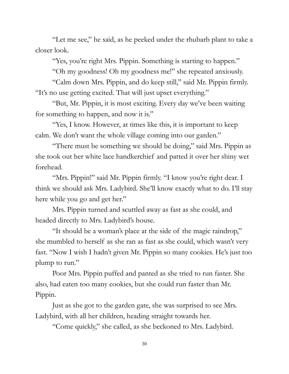"Let me see," he said, as he peeked under the rhubarb plant to take a closer look.

"Yes, you're right Mrs. Pippin. Something is starting to happen."

"Oh my goodness! Oh my goodness me!" she repeated anxiously.

"Calm down Mrs. Pippin, and do keep still," said Mr. Pippin firmly. "It's no use getting excited. That will just upset everything."

"But, Mr. Pippin, it is most exciting. Every day we've been waiting for something to happen, and now it is."

"Yes, I know. However, at times like this, it is important to keep calm. We don't want the whole village coming into our garden."

"There must be something we should be doing," said Mrs. Pippin as she took out her white lace handkerchief and patted it over her shiny wet forehead.

"Mrs. Pippin!" said Mr. Pippin firmly. "I know you're right dear. I think we should ask Mrs. Ladybird. She'll know exactly what to do. I'll stay here while you go and get her."

Mrs. Pippin turned and scuttled away as fast as she could, and headed directly to Mrs. Ladybird's house.

"It should be a woman's place at the side of the magic raindrop," she mumbled to herself as she ran as fast as she could, which wasn't very fast. "Now I wish I hadn't given Mr. Pippin so many cookies. He's just too plump to run."

Poor Mrs. Pippin puffed and panted as she tried to run faster. She also, had eaten too many cookies, but she could run faster than Mr. Pippin.

Just as she got to the garden gate, she was surprised to see Mrs. Ladybird, with all her children, heading straight towards her.

"Come quickly," she called, as she beckoned to Mrs. Ladybird.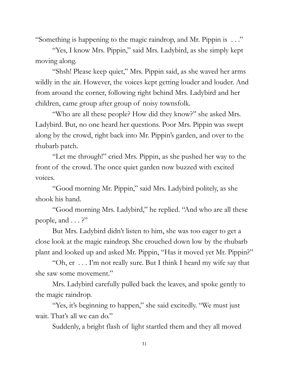"Something is happening to the magic raindrop, and Mr. Pippin is . . ."

"Yes, I know Mrs. Pippin," said Mrs. Ladybird, as she simply kept moving along.

"Shsh! Please keep quiet," Mrs. Pippin said, as she waved her arms wildly in the air. However, the voices kept getting louder and louder. And from around the corner, following right behind Mrs. Ladybird and her children, came group after group of noisy townsfolk.

"Who are all these people? How did they know?" she asked Mrs. Ladybird. But, no one heard her questions. Poor Mrs. Pippin was swept along by the crowd, right back into Mr. Pippin's garden, and over to the rhubarb patch.

"Let me through!" cried Mrs. Pippin, as she pushed her way to the front of the crowd. The once quiet garden now buzzed with excited voices.

"Good morning Mr. Pippin," said Mrs. Ladybird politely, as she shook his hand.

"Good morning Mrs. Ladybird," he replied. "And who are all these people, and  $\ldots$ ?"

But Mrs. Ladybird didn't listen to him, she was too eager to get a close look at the magic raindrop. She crouched down low by the rhubarb plant and looked up and asked Mr. Pippin, "Has it moved yet Mr. Pippin?"

"Oh, er . . . I'm not really sure. But I think I heard my wife say that she saw some movement."

Mrs. Ladybird carefully pulled back the leaves, and spoke gently to the magic raindrop.

"Yes, it's beginning to happen," she said excitedly. "We must just wait. That's all we can do."

Suddenly, a bright flash of light startled them and they all moved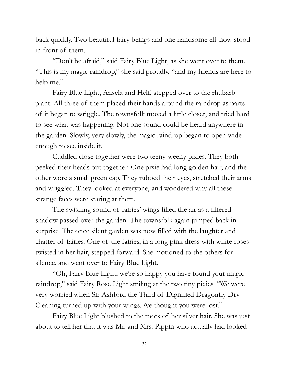back quickly. Two beautiful fairy beings and one handsome elf now stood in front of them.

"Don't be afraid," said Fairy Blue Light, as she went over to them. "This is my magic raindrop," she said proudly, "and my friends are here to help me."

Fairy Blue Light, Ansela and Helf, stepped over to the rhubarb plant. All three of them placed their hands around the raindrop as parts of it began to wriggle. The townsfolk moved a little closer, and tried hard to see what was happening. Not one sound could be heard anywhere in the garden. Slowly, very slowly, the magic raindrop began to open wide enough to see inside it.

Cuddled close together were two teeny-weeny pixies. They both peeked their heads out together. One pixie had long golden hair, and the other wore a small green cap. They rubbed their eyes, stretched their arms and wriggled. They looked at everyone, and wondered why all these strange faces were staring at them.

The swishing sound of fairies' wings filled the air as a filtered shadow passed over the garden. The townsfolk again jumped back in surprise. The once silent garden was now filled with the laughter and chatter of fairies. One of the fairies, in a long pink dress with white roses twisted in her hair, stepped forward. She motioned to the others for silence, and went over to Fairy Blue Light.

"Oh, Fairy Blue Light, we're so happy you have found your magic raindrop," said Fairy Rose Light smiling at the two tiny pixies. "We were very worried when Sir Ashford the Third of Dignified Dragonfly Dry Cleaning turned up with your wings. We thought you were lost."

Fairy Blue Light blushed to the roots of her silver hair. She was just about to tell her that it was Mr. and Mrs. Pippin who actually had looked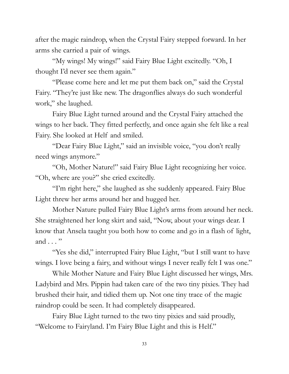after the magic raindrop, when the Crystal Fairy stepped forward. In her arms she carried a pair of wings.

"My wings! My wings!" said Fairy Blue Light excitedly. "Oh, I thought I'd never see them again."

"Please come here and let me put them back on," said the Crystal Fairy. "They're just like new. The dragonflies always do such wonderful work," she laughed.

Fairy Blue Light turned around and the Crystal Fairy attached the wings to her back. They fitted perfectly, and once again she felt like a real Fairy. She looked at Helf and smiled.

"Dear Fairy Blue Light," said an invisible voice, "you don't really need wings anymore."

"Oh, Mother Nature!" said Fairy Blue Light recognizing her voice. "Oh, where are you?" she cried excitedly.

"I'm right here," she laughed as she suddenly appeared. Fairy Blue Light threw her arms around her and hugged her.

Mother Nature pulled Fairy Blue Light's arms from around her neck. She straightened her long skirt and said, "Now, about your wings dear. I know that Ansela taught you both how to come and go in a flash of light, and . . . "

"Yes she did," interrupted Fairy Blue Light, "but I still want to have wings. I love being a fairy, and without wings I never really felt I was one."

While Mother Nature and Fairy Blue Light discussed her wings, Mrs. Ladybird and Mrs. Pippin had taken care of the two tiny pixies. They had brushed their hair, and tidied them up. Not one tiny trace of the magic raindrop could be seen. It had completely disappeared.

Fairy Blue Light turned to the two tiny pixies and said proudly, "Welcome to Fairyland. I'm Fairy Blue Light and this is Helf."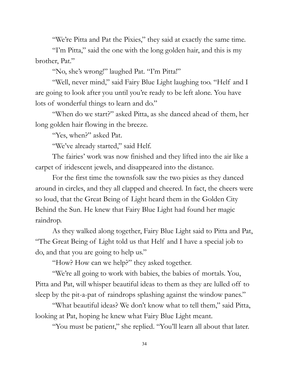"We're Pitta and Pat the Pixies," they said at exactly the same time.

"I'm Pitta," said the one with the long golden hair, and this is my brother, Pat."

"No, she's wrong!" laughed Pat. "I'm Pitta!"

"Well, never mind," said Fairy Blue Light laughing too. "Helf and I are going to look after you until you're ready to be left alone. You have lots of wonderful things to learn and do."

"When do we start?" asked Pitta, as she danced ahead of them, her long golden hair flowing in the breeze.

"Yes, when?" asked Pat.

"We've already started," said Helf.

The fairies' work was now finished and they lifted into the air like a carpet of iridescent jewels, and disappeared into the distance.

For the first time the townsfolk saw the two pixies as they danced around in circles, and they all clapped and cheered. In fact, the cheers were so loud, that the Great Being of Light heard them in the Golden City Behind the Sun. He knew that Fairy Blue Light had found her magic raindrop.

As they walked along together, Fairy Blue Light said to Pitta and Pat, "The Great Being of Light told us that Helf and I have a special job to do, and that you are going to help us."

"How? How can we help?" they asked together.

"We're all going to work with babies, the babies of mortals. You, Pitta and Pat, will whisper beautiful ideas to them as they are lulled off to sleep by the pit-a-pat of raindrops splashing against the window panes."

"What beautiful ideas? We don't know what to tell them," said Pitta, looking at Pat, hoping he knew what Fairy Blue Light meant.

"You must be patient," she replied. "You'll learn all about that later.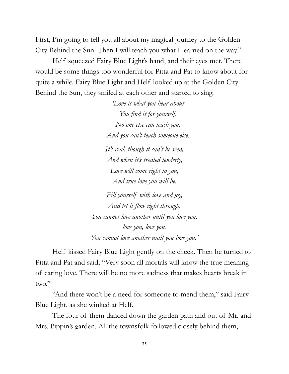First, I'm going to tell you all about my magical journey to the Golden City Behind the Sun. Then I will teach you what I learned on the way."

Helf squeezed Fairy Blue Light's hand, and their eyes met. There would be some things too wonderful for Pitta and Pat to know about for quite a while. Fairy Blue Light and Helf looked up at the Golden City Behind the Sun, they smiled at each other and started to sing.

> *'Love is what you hear about You find it for yourself. No one else can teach you, And you can't teach someone else.*

*It's real, though it can't be seen, And when it's treated tenderly, Love will come right to you, And true love you will be.*

*Fill yourself with love and joy, And let it flow right through. You cannot love another until you love you, love you, love you. You cannot love another until you love you.'*

Helf kissed Fairy Blue Light gently on the cheek. Then he turned to Pitta and Pat and said, "Very soon all mortals will know the true meaning of caring love. There will be no more sadness that makes hearts break in two."

"And there won't be a need for someone to mend them," said Fairy Blue Light, as she winked at Helf.

The four of them danced down the garden path and out of Mr. and Mrs. Pippin's garden. All the townsfolk followed closely behind them,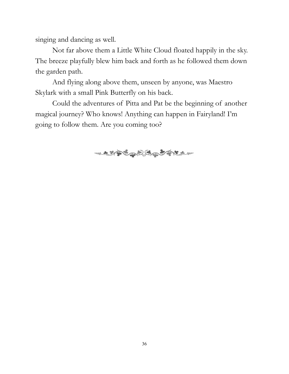singing and dancing as well.

Not far above them a Little White Cloud floated happily in the sky. The breeze playfully blew him back and forth as he followed them down the garden path.

And flying along above them, unseen by anyone, was Maestro Skylark with a small Pink Butterfly on his back.

Could the adventures of Pitta and Pat be the beginning of another magical journey? Who knows! Anything can happen in Fairyland! I'm going to follow them. Are you coming too?

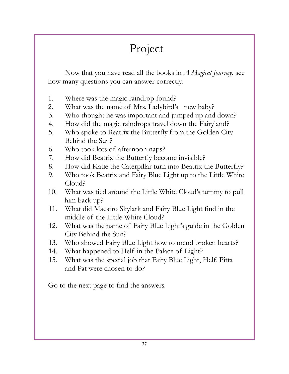## Project

Now that you have read all the books in *A Magical Journey*, see how many questions you can answer correctly.

- 1. Where was the magic raindrop found?
- 2. What was the name of Mrs. Ladybird's new baby?
- 3. Who thought he was important and jumped up and down?
- 4. How did the magic raindrops travel down the Fairyland?
- 5. Who spoke to Beatrix the Butterfly from the Golden City Behind the Sun?
- 6. Who took lots of afternoon naps?
- 7. How did Beatrix the Butterfly become invisible?
- 8. How did Katie the Caterpillar turn into Beatrix the Butterfly?
- 9. Who took Beatrix and Fairy Blue Light up to the Little White Cloud?
- 10. What was tied around the Little White Cloud's tummy to pull him back up?
- 11. What did Maestro Skylark and Fairy Blue Light find in the middle of the Little White Cloud?
- 12. What was the name of Fairy Blue Light's guide in the Golden City Behind the Sun?
- 13. Who showed Fairy Blue Light how to mend broken hearts?
- 14. What happened to Helf in the Palace of Light?
- 15. What was the special job that Fairy Blue Light, Helf, Pitta and Pat were chosen to do?

Go to the next page to find the answers.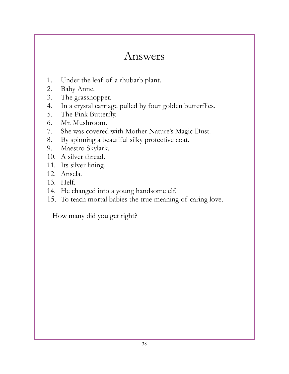## Answers

- 1. Under the leaf of a rhubarb plant.
- 2. Baby Anne.
- 3. The grasshopper.
- 4. In a crystal carriage pulled by four golden butterflies.
- 5. The Pink Butterfly.
- 6. Mr. Mushroom.
- 7. She was covered with Mother Nature's Magic Dust.
- 8. By spinning a beautiful silky protective coat.
- 9. Maestro Skylark.
- 10. A silver thread.
- 11. Its silver lining.
- 12. Ansela.
- 13. Helf.
- 14. He changed into a young handsome elf.
- 15. To teach mortal babies the true meaning of caring love.

How many did you get right?